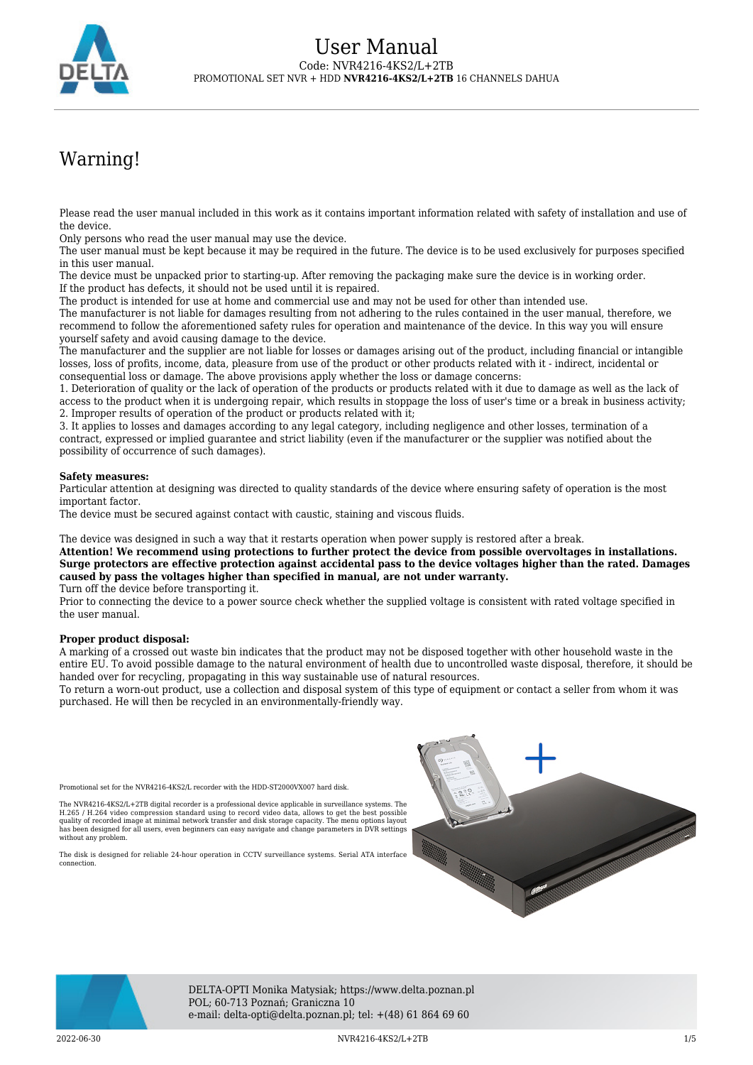

# Warning!

Please read the user manual included in this work as it contains important information related with safety of installation and use of the device.

Only persons who read the user manual may use the device.

The user manual must be kept because it may be required in the future. The device is to be used exclusively for purposes specified in this user manual.

The device must be unpacked prior to starting-up. After removing the packaging make sure the device is in working order. If the product has defects, it should not be used until it is repaired.

The product is intended for use at home and commercial use and may not be used for other than intended use.

The manufacturer is not liable for damages resulting from not adhering to the rules contained in the user manual, therefore, we recommend to follow the aforementioned safety rules for operation and maintenance of the device. In this way you will ensure yourself safety and avoid causing damage to the device.

The manufacturer and the supplier are not liable for losses or damages arising out of the product, including financial or intangible losses, loss of profits, income, data, pleasure from use of the product or other products related with it - indirect, incidental or consequential loss or damage. The above provisions apply whether the loss or damage concerns:

1. Deterioration of quality or the lack of operation of the products or products related with it due to damage as well as the lack of access to the product when it is undergoing repair, which results in stoppage the loss of user's time or a break in business activity; 2. Improper results of operation of the product or products related with it;

3. It applies to losses and damages according to any legal category, including negligence and other losses, termination of a contract, expressed or implied guarantee and strict liability (even if the manufacturer or the supplier was notified about the possibility of occurrence of such damages).

#### **Safety measures:**

Particular attention at designing was directed to quality standards of the device where ensuring safety of operation is the most important factor.

The device must be secured against contact with caustic, staining and viscous fluids.

The device was designed in such a way that it restarts operation when power supply is restored after a break.

**Attention! We recommend using protections to further protect the device from possible overvoltages in installations. Surge protectors are effective protection against accidental pass to the device voltages higher than the rated. Damages caused by pass the voltages higher than specified in manual, are not under warranty.** Turn off the device before transporting it.

Prior to connecting the device to a power source check whether the supplied voltage is consistent with rated voltage specified in the user manual.

#### **Proper product disposal:**

A marking of a crossed out waste bin indicates that the product may not be disposed together with other household waste in the entire EU. To avoid possible damage to the natural environment of health due to uncontrolled waste disposal, therefore, it should be handed over for recycling, propagating in this way sustainable use of natural resources.

To return a worn-out product, use a collection and disposal system of this type of equipment or contact a seller from whom it was purchased. He will then be recycled in an environmentally-friendly way.

Promotional set for the NVR4216-4KS2/L recorder with the HDD-ST2000VX007 hard disk.

The NVR4216-4KS2/L+2TB digital recorder is a professional device applicable in surveillance systems. The<br>H.265 / H.264 video compression standard using to record video data, allows to get the best possible<br>quality of recor has been designed for all users, even beginners can easy navigate and change parameters in DVR settings without any problem

The disk is designed for reliable 24-hour operation in CCTV surveillance systems. Serial ATA interface connection.





DELTA-OPTI Monika Matysiak; https://www.delta.poznan.pl POL; 60-713 Poznań; Graniczna 10 e-mail: delta-opti@delta.poznan.pl; tel: +(48) 61 864 69 60

2022-06-30 NVR4216-4KS2/L+2TB 1/5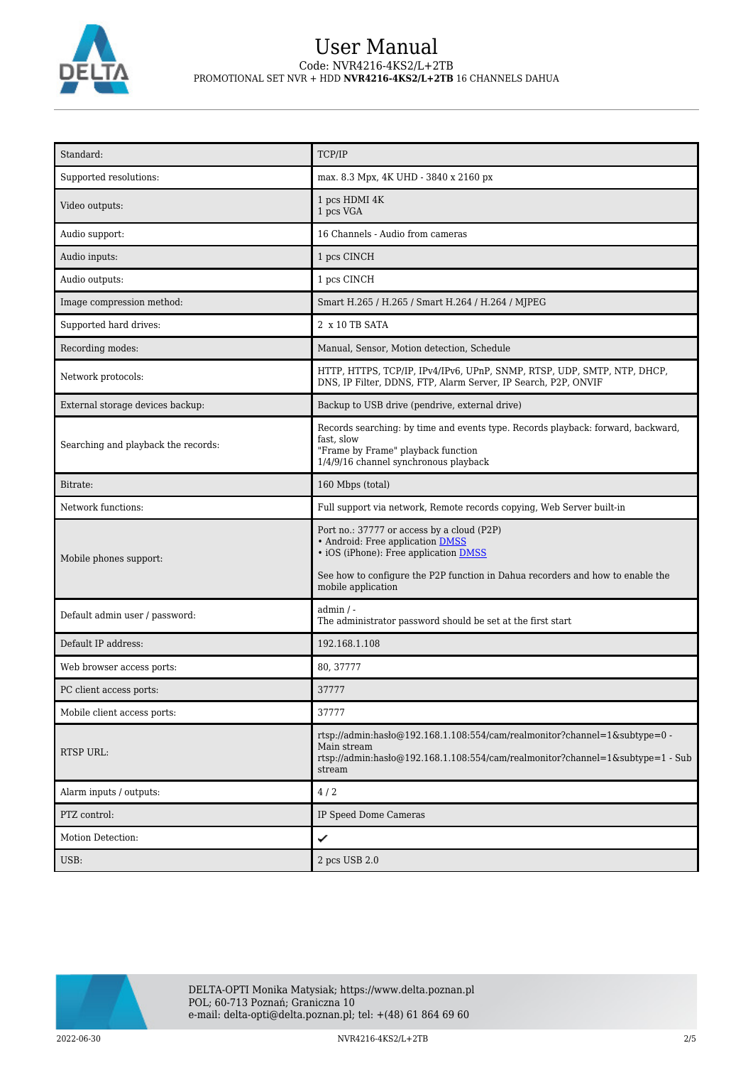

| Standard:                           | TCP/IP                                                                                                                                                                                                                          |  |
|-------------------------------------|---------------------------------------------------------------------------------------------------------------------------------------------------------------------------------------------------------------------------------|--|
| Supported resolutions:              | max. 8.3 Mpx, 4K UHD - 3840 x 2160 px                                                                                                                                                                                           |  |
| Video outputs:                      | 1 pcs HDMI 4K<br>1 pcs VGA                                                                                                                                                                                                      |  |
| Audio support:                      | 16 Channels - Audio from cameras                                                                                                                                                                                                |  |
| Audio inputs:                       | 1 pcs CINCH                                                                                                                                                                                                                     |  |
| Audio outputs:                      | 1 pcs CINCH                                                                                                                                                                                                                     |  |
| Image compression method:           | Smart H.265 / H.265 / Smart H.264 / H.264 / MJPEG                                                                                                                                                                               |  |
| Supported hard drives:              | 2 x 10 TB SATA                                                                                                                                                                                                                  |  |
| Recording modes:                    | Manual, Sensor, Motion detection, Schedule                                                                                                                                                                                      |  |
| Network protocols:                  | HTTP, HTTPS, TCP/IP, IPv4/IPv6, UPnP, SNMP, RTSP, UDP, SMTP, NTP, DHCP,<br>DNS, IP Filter, DDNS, FTP, Alarm Server, IP Search, P2P, ONVIF                                                                                       |  |
| External storage devices backup:    | Backup to USB drive (pendrive, external drive)                                                                                                                                                                                  |  |
| Searching and playback the records: | Records searching: by time and events type. Records playback: forward, backward,<br>fast, slow<br>"Frame by Frame" playback function<br>1/4/9/16 channel synchronous playback                                                   |  |
| Bitrate:                            | 160 Mbps (total)                                                                                                                                                                                                                |  |
| Network functions:                  | Full support via network, Remote records copying, Web Server built-in                                                                                                                                                           |  |
| Mobile phones support:              | Port no.: 37777 or access by a cloud (P2P)<br>• Android: Free application DMSS<br>• iOS (iPhone): Free application DMSS<br>See how to configure the P2P function in Dahua recorders and how to enable the<br>mobile application |  |
| Default admin user / password:      | $admin / -$<br>The administrator password should be set at the first start                                                                                                                                                      |  |
| Default IP address:                 | 192.168.1.108                                                                                                                                                                                                                   |  |
| Web browser access ports:           | 80, 37777                                                                                                                                                                                                                       |  |
| PC client access ports:             | 37777                                                                                                                                                                                                                           |  |
| Mobile client access ports:         | 37777                                                                                                                                                                                                                           |  |
| <b>RTSP URL:</b>                    | rtsp://admin.hasb $@192.168.1.108.554/cam/realmonitor?channel=1$ &subtype=0 -<br>Main stream<br>rtsp://admin:haslo $@192.168.1.108.554$ /cam/realmonitor?channel=1&subtype=1 - Sub<br>stream                                    |  |
| Alarm inputs / outputs:             | 4/2                                                                                                                                                                                                                             |  |
| PTZ control:                        | IP Speed Dome Cameras                                                                                                                                                                                                           |  |
| Motion Detection:                   | ✓                                                                                                                                                                                                                               |  |
| USB:                                | 2 pcs USB 2.0                                                                                                                                                                                                                   |  |

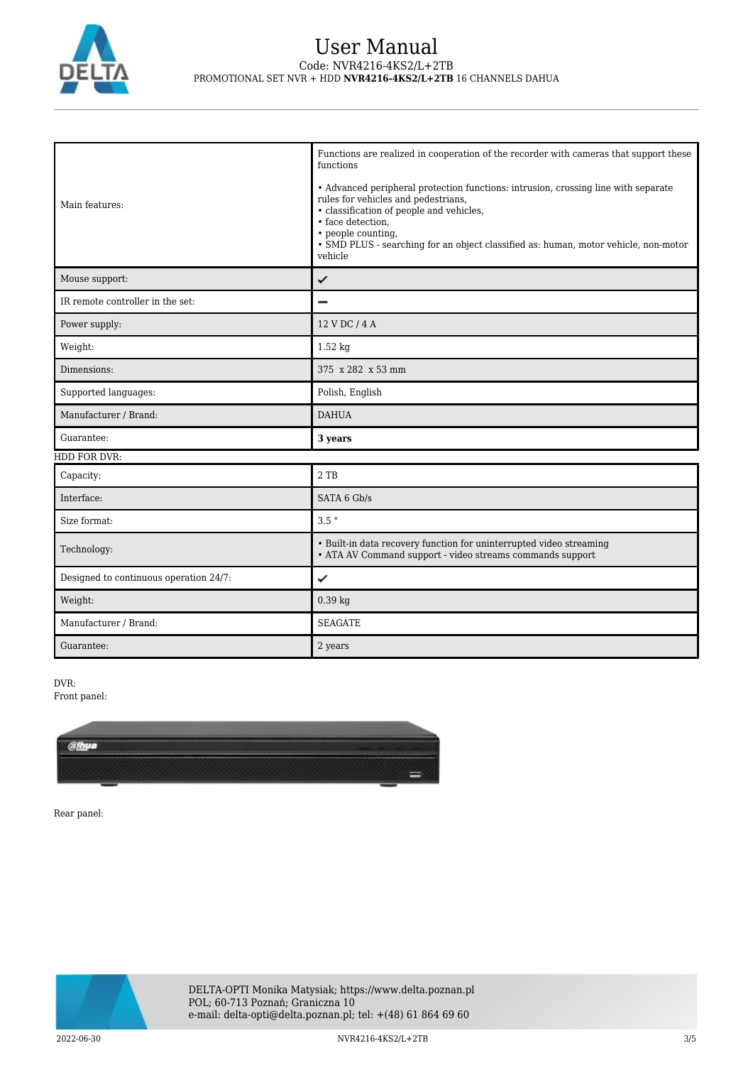

| Main features:                         | Functions are realized in cooperation of the recorder with cameras that support these<br>functions<br>• Advanced peripheral protection functions: intrusion, crossing line with separate<br>rules for vehicles and pedestrians,<br>• classification of people and vehicles,<br>• face detection.<br>• people counting,<br>· SMD PLUS - searching for an object classified as: human, motor vehicle, non-motor<br>vehicle |
|----------------------------------------|--------------------------------------------------------------------------------------------------------------------------------------------------------------------------------------------------------------------------------------------------------------------------------------------------------------------------------------------------------------------------------------------------------------------------|
| Mouse support:                         | ✓                                                                                                                                                                                                                                                                                                                                                                                                                        |
| IR remote controller in the set:       |                                                                                                                                                                                                                                                                                                                                                                                                                          |
| Power supply:                          | 12 V DC / 4 A                                                                                                                                                                                                                                                                                                                                                                                                            |
| Weight:                                | $1.52$ kg                                                                                                                                                                                                                                                                                                                                                                                                                |
| Dimensions:                            | 375 x 282 x 53 mm                                                                                                                                                                                                                                                                                                                                                                                                        |
| Supported languages:                   | Polish, English                                                                                                                                                                                                                                                                                                                                                                                                          |
| Manufacturer / Brand:                  | <b>DAHUA</b>                                                                                                                                                                                                                                                                                                                                                                                                             |
| Guarantee:                             | 3 years                                                                                                                                                                                                                                                                                                                                                                                                                  |
| HDD FOR DVR:                           |                                                                                                                                                                                                                                                                                                                                                                                                                          |
| Capacity:                              | $2$ TB                                                                                                                                                                                                                                                                                                                                                                                                                   |
| Interface:                             | SATA 6 Gb/s                                                                                                                                                                                                                                                                                                                                                                                                              |
| Size format:                           | $3.5$ "                                                                                                                                                                                                                                                                                                                                                                                                                  |
| Technology:                            | • Built-in data recovery function for uninterrupted video streaming<br>• ATA AV Command support - video streams commands support                                                                                                                                                                                                                                                                                         |
| Designed to continuous operation 24/7: | ✓                                                                                                                                                                                                                                                                                                                                                                                                                        |
| Weight:                                | $0.39$ kg                                                                                                                                                                                                                                                                                                                                                                                                                |
| Manufacturer / Brand:                  | <b>SEAGATE</b>                                                                                                                                                                                                                                                                                                                                                                                                           |
| Guarantee:                             | 2 years                                                                                                                                                                                                                                                                                                                                                                                                                  |

DVR:

Front panel:



Rear panel:

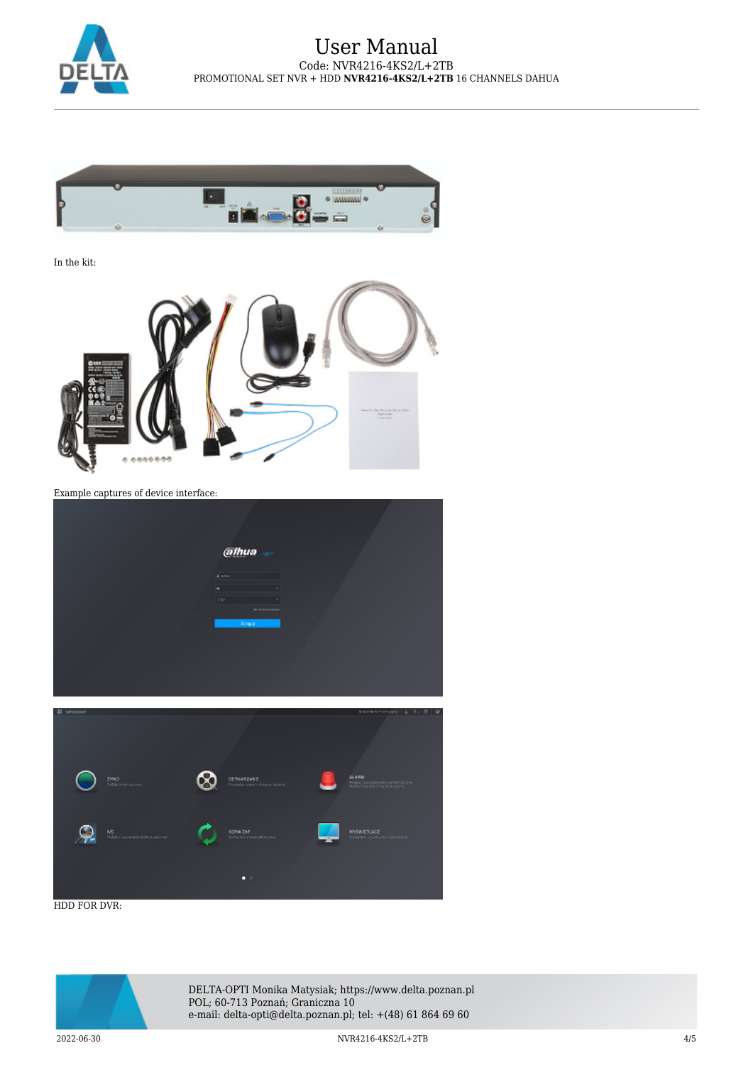



In the kit:



Example captures of device interface:

|                                                 | alhua<br>A similar contract of the<br>the control of the con-<br>n.<br>me and the state<br><b>Mississipations</b><br><b>Bonga</b> (1977) |                                                                                           |
|-------------------------------------------------|------------------------------------------------------------------------------------------------------------------------------------------|-------------------------------------------------------------------------------------------|
| П экономи<br><b>ZYWO</b><br><b>Policinakers</b> | ODTWARZANIE<br>Pinshirls save Lobesce appele.                                                                                            | NOCHETHRANK 1 3, E 9<br>ALABM<br>PRESCRIPCION CONTINUES.<br>Reference Marine (2008) MPTs: |

ь

HDD FOR DVR:

 $\bullet$ 



DELTA-OPTI Monika Matysiak; https://www.delta.poznan.pl POL; 60-713 Poznań; Graniczna 10 e-mail: delta-opti@delta.poznan.pl; tel: +(48) 61 864 69 60

2022-06-30 NVR4216-4KS2/L+2TB 4/5